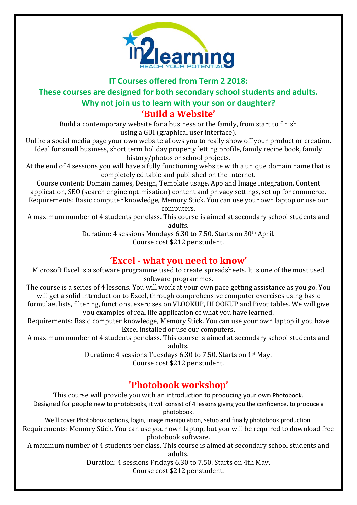

## **IT Courses offered from Term 2 2018: These courses are designed for both secondary school students and adults. Why not join us to learn with your son or daughter?**

#### **'Build a Website'**

Build a contemporary website for a business or the family, from start to finish using a GUI (graphical user interface).

Unlike a social media page your own website allows you to really show off your product or creation. Ideal for small business, short term holiday property letting profile, family recipe book, family history/photos or school projects.

At the end of 4 sessions you will have a fully functioning website with a unique domain name that is completely editable and published on the internet.

Course content: Domain names, Design, Template usage, App and Image integration, Content application, SEO (search engine optimisation) content and privacy settings, set up for commerce. Requirements: Basic computer knowledge, Memory Stick. You can use your own laptop or use our

computers.

A maximum number of 4 students per class. This course is aimed at secondary school students and adults.

Duration: 4 sessions Mondays 6.30 to 7.50. Starts on 30th April. Course cost \$212 per student.

#### **'Excel - what you need to know'**

Microsoft Excel is a software programme used to create spreadsheets. It is one of the most used software programmes.

The course is a series of 4 lessons. You will work at your own pace getting assistance as you go. You will get a solid introduction to Excel, through comprehensive computer exercises using basic

formulae, lists, filtering, functions, exercises on VLOOKUP, HLOOKUP and Pivot tables. We will give you examples of real life application of what you have learned.

Requirements: Basic computer knowledge, Memory Stick. You can use your own laptop if you have Excel installed or use our computers.

A maximum number of 4 students per class. This course is aimed at secondary school students and adults.

Duration: 4 sessions Tuesdays 6.30 to 7.50. Starts on 1st May.

Course cost \$212 per student.

# **'Photobook workshop'**

This course will provide you with an introduction to producing your own Photobook.

Designed for people new to photobooks, it will consist of 4 lessons giving you the confidence, to produce a photobook.

We'll cover Photobook options, login, image manipulation, setup and finally photobook production.

Requirements: Memory Stick. You can use your own laptop, but you will be required to download free photobook software.

A maximum number of 4 students per class. This course is aimed at secondary school students and adults.

Duration: 4 sessions Fridays 6.30 to 7.50. Starts on 4th May.

Course cost \$212 per student.